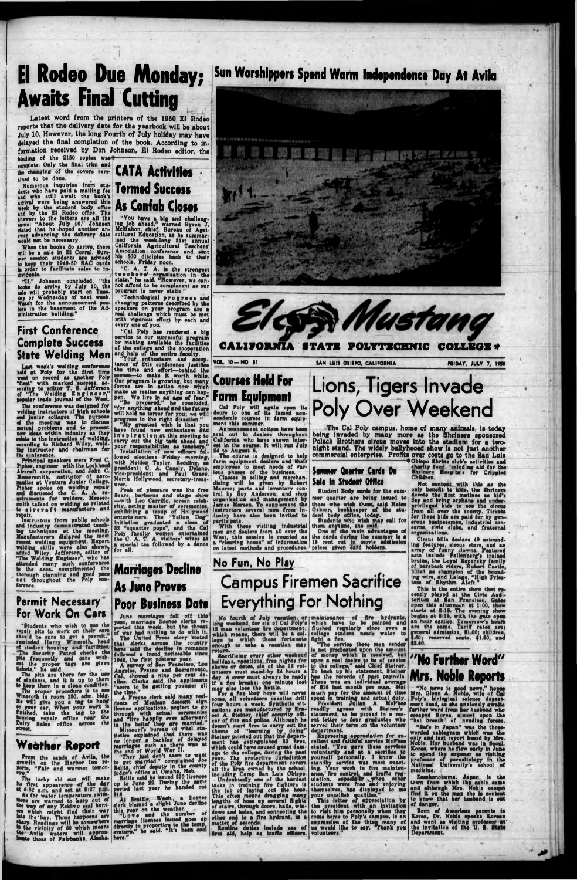# **El Rodeo Due Monday; Awaits Final Cutting**

When the books do arrive, there will be a sale in El Corral. Mummer session students are advised to keep their 1040-50 HAC cards In order to facilitate sales to Individuals. -------------- — . j

"If," Johnson concluded, "the books do arrive by July 10, the sale will probably start on Tuosday or Wednesday of next week. Watch for the announcement posters in the basement of the Administration building."

#### First Conference Complete Success State Welding Men

repair.<br>
Instructors from public schools end Industry demonstrated teaching techniques at the meeting. Manufacturers dleleyed the most recent welding equipment. Expert welding skills were also shown, added Wiley. Jefferson, editor of "The Welding Engineer", who has attended many such conferences in the area, complimented the thorough planning end good pace

#### Permit Necessary For Work On Cars

Last week's welding conference held at Poly for the first time went on record as apother Poly "first" with marked success, scanding to editor T. B. Jefferson of "The Welding E n g in e e r ," popular trade Journal of the West.

Prom the sands of Avila, the gremlin on the Harbof Inn re-Porte, "Fair and warmer tomor-Ports,

The conference was designed for welding instructors of high schools snd Junior collages. The purpose of the meeting was to discuss mutual problems and to present new ideas within industry as they relate to the Instruction of welding, according to Richard Wiley, welding Instructor and chairman for the conference.

The lucky old sun will make lie first appearance of the day  $\frac{164.52}{164.52}$  a.m. and set at  $\frac{2127}{164}$  and  $\frac{2127}{164}$ Jfors ans warned to keep put of the way of any Eskimo seal hunters which might find their way "" ato the bay. Those harpoons are sharp. Readings will be somewhere In the vicinity of 60 which means the Avila waters will approx-'»»t\* those of Fairbanks, Alaska.

Latest word from the printers of the 1950 El Rodeo reports that the delivery date for the yearbook will be about July 10. However, the long Fourth of July holiday may have delayed the final completion of the book. According to information received by Don Johnson, El Rodeo editor, the ....

binding of the 2150 copies was-<br>complete. Only the final trim and complete. Only the Ansi trim end the changing of the covers rem-**CAIA ACTIVITIOS** 

ained to be done.<br>Numerous inquiries from stu-Numerous Inquiries from students who hsve paid s mailing fee snd who still await the book's arrival were being answered this week by the student body office and by the El Rodeo office. The answers to the letters are all the ■ame: "About July 10." Johnson stated that he hoped another anewer advancing the delivery date would not be necessary.

Principal speakers were Fred C. Pipher. engineer with the Lockheed Aircraft corporation, and John C. Mesaersmlth, Instructor of aeronautlcs at Ventura Junior College. Pipher spoke on welding repair and discussed the C. A. A. re-quirements fof welders. Mesaersmith talked on welding as related to a i r c r a f t manufacture and

"Technological p r o g r e s s and changing patterns described by the speakers on your program are a real challenge which must be met with vigorous effort by each and every one of you.

"Students who wish to use ihe rapair pits to work on their cars should be sure to get a permit, reminded Harry Wincroth, head of student housing and facilities. "The Security Petrol checks the pits frequently and cars with- •et the proper tags are given tickets," he said.

The pita are there for the use •f students, and it is up to them to keep them In a clean condition. The proper procedure is to see wlncroth In room 150, edm. bldg. He will give you e tag to hong •n your car. when your work u finished, take the tag to the housing, repair office near the Dolry Salsa office acroes the •treat.

#### **Weather Report**

816.<br>At fleattis. Wash., a license •lark blamed a ellght June decline this year on the weather.<br>"Love and the number of<br>marriage licenses issued goes up erature," he said. "It here."

academic courses In farm equip-ment this summer. Announcement notices have been sent out to dealers throughout

# **Termed Success As Confab Closes**

"You have a big and challeng-Ing job ahead," warned Byron J. McMahon, chief, Bureau of Agricultural Education, as he summarised the week-long 81st annual California Agricultural Teachers' Association conference and sent his 500 disciples back to their schools, Friday noon.

"C. A. T. A. la the strongest t e a c h e r s' organisation in the state," he said. "However, we cannot afford to be complacent as our program Is never static."

> 1" ■ "" 1 ♦Obispo Shrine club's activities and charity fund, including aid for the Ihrinsrs Hospitals for Crippled

"Cal Poly has rendered a big service to our successful program bv making available the facilities of the college snd the cooperation and help of the entire faculty.

> organisations.<br>Circus bills declare 40 astound-Circus bills declare 40 astounding features, circus stars, end an army of funny clowns. Featured acts include Pallenberg's trained<br>bruins, the Loyal Repensky family of bareback riders, Hubert Castle, billed as champion of the houndlag wire, and I.siege, "High Pries-

"Your enthusiasm and acceptance of this conference Justifies the time and effort—behind the ecenee—to make it worth while. Our program le growing, but many forces are in action now which make us realise anything can happen. We live in an age of fear." "Be prepared." he concluded, "for anything ahead **and** tha future will hold no terror for you; we will

#### Su<mark>mmer Quarter Cards On</mark> **Silt In Studaat Offflca**

Student Body cards for the summer quarter are being issued to thoee who wish them, said Helen Osborn, bookkeeper of the student body office, today. **Students who wish may call for** 

them anytime, she said. One of the main advantages of the cards during the summer is a 18 cent cut in movie admission prices given card holders.

progress In the right direction," "My greatest wish la that you have found new enthusiasm and I n s p i r a t i o n at this meeting to carry out the big task ahead snd your responsibilities as teachers." Installation of new officers fol> lowed elections Friday morning, with Neldon Taylor, Redding, as

> come, all volunteers practice drill four hours a week. Synthetic situations are manufactured by Km eat A. Stainer, chief security officer of fire and police. Although he doesn't start fires to carry out the theme of "learning by doing" Steiner pointed out that the depart-<br>ment has extinguished 80 fires, Which could have caused great damage to the college, during the past year. The protective Jurisdiction of the Poly Aro deportment covers all the area owned by the school, Including Camp San Lula Obiepo. • Undoubtedly one of the hardest tasks in training Are fighters is the job of laying out the hose. This often means dragging many lengths of hose up several flights of stairs, through doors, halls, windows and holes, and connecting the other end to a fire hydrant, in a

president; C. A. Casaly, Delano, vice-president; and Paul Grace, North Hollywood, secretary-treasurer.

Peek of pleasure waa the free Sears, barbecue and stage show —with I/\*o Carrillo, screen celebrity. acting master of ceremonies, exhibiting a troup of Hollywood entertainers. Ths "Yellow Dog" Initiation graduated a class of 82 "squatter pups", and tha Cal Poly faculty women entertained the C. A. T. A. visitors' wlvss at a special tea followed by a dance for all.

## **Sun Worshippers Spend Warm Independence Day At Avila**



matter of seconds.<br>Routine duties include use of Arst aid, help as traffic officers,

**Marriages Decline**

'"■•V

### **As Jans Proves Poor Business Date**

June marriages fell off this year, marriage license clerks reported thle week, but the threat of war hed nothing to do with It. The United Press story Mated that clerks across the country have eald the decline in romance followed a trend noticeable since 1048, the first postwar year. A survey of Man Francisco, Los

> served their term on the volunteer<br>department.<br>Expressing appreciation for excellent end faithful service McPhee stated, "You gave these services voluntarily and at a sacrifice to<br>yourself personally. I know the standby service was most exacting. Your work In fire maintenance,' fire control, and traffic reg-<br>ulation, especially when other students were free and enjoying themselves, hae displayed to me

Angeles, Frssno and Maeramento, CaL, showed a nine per cent decline. Clerks said the applicants "seem to be getting younger all tha time." . . ,. \_\_.

## "No Further Word" **M rs. Noble Reports**

A Freeno clerk said many residents of Mexican descent sign license applications, neglect to go through with actual ceremonies and "live happily ever afterward in the belief they are married." Missouri's bureau of vital statlatlce explained that there was no longer a backlog of delayed marriages such as ther\* was at the end of World War II. "They Just don't seem to want

to get married," complained Joe Bellta, chief deputy In the county judge's office at Omaha. Neb.<br>Belits said he issued 290 licences

Zasshonokuma. Japan, is the town from which the cable cams and although Mrs. Noble canqot find it on the map she is content to know that har husband la out of danger.

up to June 22. During the same period laet year he handed out



VOL 10-NO. BI SAN LUIS OBISPO, CALIFORNIA FRIDAY, JULY 7, 1950

**Courses Hold For Form Equipment** Cal Poly will again open Its doors to one of its famed non-

California who have shown Interest in the course. It will run July 24 to August A

The course la designed to help farm equipment dealers end their employees to mset needs of various phases of the business.

Classes In selling end merchandising will be given by Robert Maurer; parts and Inventory control by Roy Anderson; and shop organisation snd management by James Merson. To supplement the Instructors several men from industry have also been invited to participate,

With these visiting Industrial men and daalere from all over ths West, this session Is counted as a "clearing house" of Information on latest methods and procedures.

## **Lions, Tigers Invade Poly Over Weekend**

. The Cal Poly campus, home of many animals, is today being invaded by many more as the Shriners sponsored Polack Brothers circus moves into the stadium for a twonight stand. The widely ballyhooed ohow is not juat another commercial enterprise. Profits over costs go to the San Luis

> Children. Not oontagt with this as the only benefit to kids, the Shriners devote the first matinee as kid's day and bring orphans and underprivileged kids to see the circus from all over the county. Tickets for these klda are paid for by generous businessmen, Industrial eoncorns, civic clubs, and fraternal

tess of Rhythm Aloft."

This is the entire show that recently played at the Civic Audi torium at San Francisco, Gates open this afternoon at 1:00, show starts at 1:15. The evening show begins at  $6:15$ , with the gate open an hour earlier. Tomorrow's houn are the same. Tariff rates are; general admission. II 00; children, i-rtO; reserved seats, flJO, and

No Fun, No Play

ast throughout the roly conset throughout the

## **Campus Firemen Sacrifice Everything For Nothing**

No fourth of July vacation, or long wseksnd. for eix of Cal Poly's 12 man volunteer Are department; which means, there will be a collage to which thoee fortunate enough to take a vacation may

return.<br>Sacrificing every other weekend holidays, vacations, free nights for shows or datos, six of tha 12 volunteors must stand-by 24 hours a day. A erew must always be ready if a fire breaks; one minute lost may also lose the battle.<br>For a fire they hope will never

maintenance of Are hydrants, which have to be painted and flushed regularly sines oven a college student needs water to

fight a fire.<br>"The service these men render is not predicated upon the amount of money which is received, but upon a real desire to be of service to the college," said Chief Ateinar. To back up hie etatamant, Steiner has the records of past payrolls. There was an Individual average of fl8 last month per man. Not much pay for tha amount of time spent In training and actual duty, President Julian A. McPhoe readily agrees with Steiner's statement, as he proved In a roeent letter to four graduates who

your unealflsh qualities." This letter of appreciation by the president with an Invitation to visit him personally when they come home to Poly'a campus, Is an expression of the thing many of ue would like to say, 'Thank you volunteers,"

MNo news is good newt," hopes Mrs. Glenn A. Noble, wife of Cal Poly's biological science department head, as she anxiously awatta further word from her husband who escaped Korea, almost upon tha "hot breath" of Invading forees.

"Safe in Japan" was the threeworded cablegram which waa the only and laet report heard by Mrs. Nobis. Her husband was in Seoul, Korea, where he flew early In Juna to spend the summer as visiting professor of psrasltology In tha National University's school of medicine.

Born of American parents in Korea, Dr, Nobis speaks Korean and went as visiting professor at the Invitation of the U. M. Department.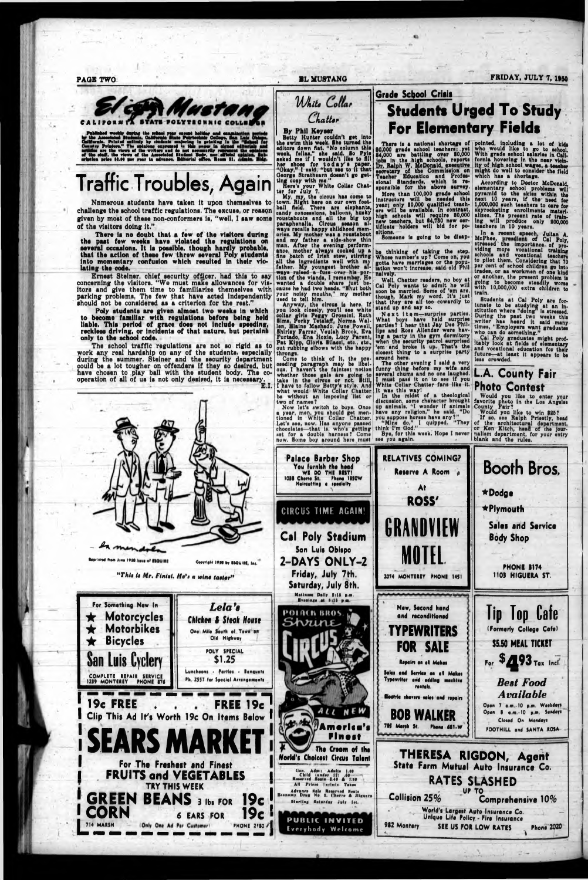White Collar



Published workly during the subset year except heliday and examine the Associated Students, Ohiffernia. Printed military by students majoring in publicate in the Constitution." The collaborate expressed in this paper in ei

**There is no doubt that a few of the visitors during the past few weeks have violated the regulations on** aeveral occasions. It is possible, though hardly probable, **that the action of these few threw several Poly students into momentary confusion which resulted in their vio**lating the code.

## **Traffic Troubles, Again**

Nnmerous students have taken it upon themselves to challenge the school traffic regulations. The excuse, or reason given by most of these non-conformers is, "well, I saw some of the visitors doing it."

Ernest Steiner, chief security officer, had this to say concerning the visitors. "We must make allowances for visitors and give them time to familiarize themselves with parking problems. The few that have acted Independently should not be considered as a criterion for the rest."

Batty Hunter couldn't get Into tha awlm this weak. She turned the adltora down flat. "No column thia weak, fellas," aha said. So Pyl\* asked me if I wouldn't Ilka to All her shoos for t o d a y 's paper. "Okey,'\* 1 I aaid, "but sea to It that George Strathearn doesn't go getting cosy with me."

**Poly students are given a|moet two weeks in which to become familiar with regulations before being held liable. This period of grace does not Include speeding, reckless driving, or incidents of that nature, but pertains only to the school code.**

nere's your White Collar Chatter for July 7.

The school traffic regulations are not so rigid as to work any real hardship on any of the students, especially during tne summer. Steiner and the security department could be a lot tougher on offenders if they so dssired, but have chosen to play ball with the student body. The cooperation of all of us is not only desired, it is necessary.

**E.I.**

Come to think of it, the preceeding paragraph may bo libelous. I haven't the faintest notion whether those gals are going to take In the olroue or not. Still, 1 have to follow Betty's style. Ana what would White Collar Chatter be without an imposing Hat or

## Grade School Crisis **Students Urged To Study For Elementary Fields**

There is a national shortage of 80,000 grade school teachers; yet 84.000 are battling ovar 80,000 jobs in the high schools, reports Ralph W. McDonald, executive secretary of the Commission on Teacher Education and Professional Standards, which is responsible for the above survey.

*C. Latter*

**By Phil Keyser**

**PAGE TWO FRIDAY, JULY 7, 1950** 

be thinking of taking the step. Whoee number's up T Come on, you gotta have marriages or the population won't Increase, said old Phil  $n$ alvely,  $-$ 

The other evening I said a very funny thing before my wife and several chums and no ons laughed. I must pass it on to see if you White Collar Chatter fans like It It was this way!<br>In the midst of a theological

My, my. the circus has come to town. Right hare on our own football Asia. Thors are elephants, candy concessions, balloons, husky roustabouts and all the big top psrsphcnslls. Clreus season always recalls happy childhood memories. My mother was a roustabout and my father a aldo-ihow thin man. After the evening performance, mother always oookad up a Ana batch of Irian stew, stlrnng all tha ingredients wall with my father. My youngest brother always raised a fuaa over hla portion of tha vlandi, I ramambax. Ha wanted a double share Just because ha had two hcadi. "Bnut both your noisy mouths," my mothsr used to tall him.

Anyway, tha circus Is hsrs. If you look closely, you'll see white collar girls Peggy Grossini, Ruth Sims, Porky Tstslag, Norma Wal-len, Blaine Machado, June .Powell, Shirley Farrar, Vculah Brook, Eva Furtado, Ena Hoxlo. Lucy Parent, Pat Kipp, Gloria Silacol, etc., etc., out rubbing elbows with the happy throngs.

Students at Cal Poly are fortunate to be studying at an Institution where "doing" Is stressed. During the peat two weeks this writer hes heard It said many times, "Employers went graduates who can do something."

*The Cal Poly graduates might prof-*Itably look at Aelds of elementary and vocational education for their future—at least It appears to bs less crowded.

More than 100,000 grade school instructors will be needed this ysari only 80,000 qualified teachers will be available. In contrast, high schools will require 30,000 new teachers, but 84,730 new certlflcats holders will bid for positions.

Somsons is going to be dlsap-

Well, Chatter readers, no boy at Cal Poly wants to admit he will soon bs married. Some of 'em are, though. Mark my word. It's Just that they are all too cowardly to stand up and aay so.

Next 11em—surprise parties. Whet boys have held surprise partial? *l* hear that Jay Dss Phillips and Ross Allender wars having a party In ths gym dormitory when the security patrol surprised 'em and broke it up. That's the closest thing to a surprise party around here.

pointad, including a lot of kids who would like to go to school. With grade school salaries in Californla hovering In the near vloln- ■ty of high school wages, a teacher might do wall to consider the field which has a shortage.

According to Doctor McDonald, elementary school problems will pyramid to the skies within the next 10 years, if ths need for 1,000,000 such teachers to care for skyrocketing enrollments msteriallses. The present rate of training will produce only 200,000 teachers in 10 years.

ln a recent speech, Julian A.<br>McPhee, preadient of Cal Poly,<br>stressed the importance of providlng moye vocational training achoola and vocational teachers to pilot them. Considering that 70 per cent of school children go into tradea, or as workmen of one kind or another, the present problem is going to become steadily worse with 10,000,000 extra children to train.

#### L.A. County Fair Photo Contest



Would you like to enter your

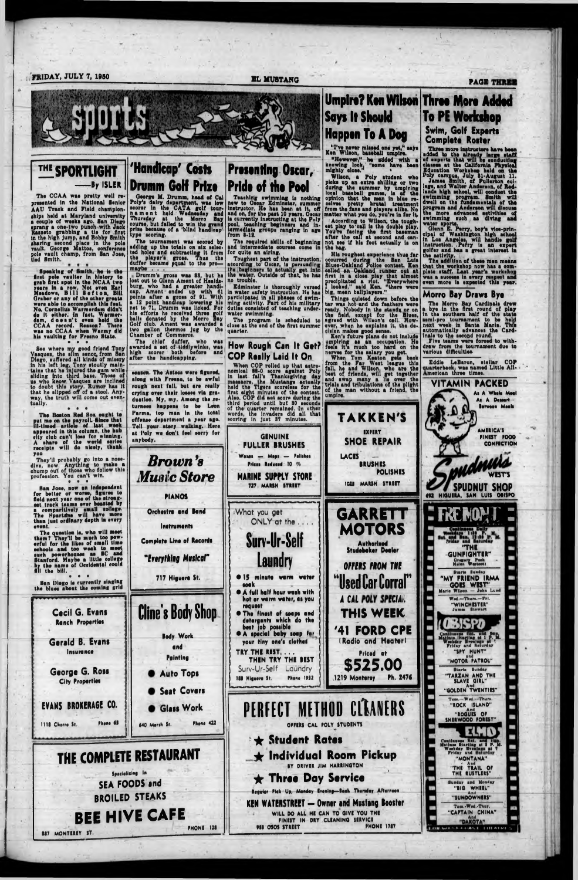n

(/<**FRIDAY, JULY 7, 1950 BL MUSTANG PAGI**

The CCAA was pretty well represented in the National Senior AAU Track and Field champion-<br>ships held at Maryland university ahlpi hold at Maryland university a coupla of waaka ago. Ban Diego iprang a ona-two puneh with Jaok **M il** in t) sharing second placs in the pole<br>vault. George Mattos, conference •M aaato grabbing a tlo for Drat gh jump, and aharing aacond place In the polo Mat<sub>!</sub> in the high jump, and Bobby Smith tno i, oonfa pola vault champ, from San Joao, tied Smith.

Sea where my good friend Tony Vasques, the allm senor from San Diego, auffered all kinds of misery in hla laft lag. Tony atoutly maintains that he injured the gam while sliding into third base. Those of us who know Vasques are inclined to doubt thia atory. Rumor haa it that he slipped off of a stool. Anyway, tha truth will coma out eventually.  $\qquad \qquad \bullet \quad \bullet \quad \bullet$ 

Spaaking of Smith, ha ia tha drat pola vaultar In hlatory to grab **Ant** a pot in tha NCAA two rears in a row. Not even Earl Meadows, Bill S a f **t** o n, Bill Grabar or any of tha other groato wore able to accompllah this feat. No, Cornelius Warmerdum didn't do **it** althar. In fact, Warmerdam, doaan't oven hold tha CCAA record. Beacon? Thera waa no CCAA whan Warmy did hla vaulting for Fraano State, **e e e**

#### **THE SPORTLIGHT -------By ISLER 'Handicap' Costs**

The Booton Bad Sox ought to put mo on the payroll Since that Ill-tinted article of last weak appeared In thia column, tha hub city club can't loae for winning. A share of the world series receipts will do nicely, thank you

They'll probably go into a nosedlve, now. Anything to make a chump out of those who follow this profession. You can't win.<br>
• • •

San Joae, now an independent for batter or woree, Agnraa to Held next year one of the strongeat track taama aver beeated by a comparitlvely omali college. Tha Hpartdna will have more than Juat ordinary depth in every event. ~

Tha queation la, who will meat them? They'll be much too powarful for tha llkea of email time achoola and too weak to meat auch powerhouaee aa SC and Stanford. Mayba a little college by the name of Occidental could **Pride of the Pool** Teaching awimmlng la nothing new to Oaoar Edmlnater, summer Instructor. He haa bean at it, off and on, for the past 10 years. Oscar ia currently inatruoting at tha Poly pool, teaching beginners and in-<br>termediate groups ranging in age from B-18.

The required akills of beginning and intermediate eouraea come In for quite an airing.

The program is scheduled to close at the end of the first summer quarter.

**Drumm Goff Prlzo** George M. Drumm, head of Cal Poly'a dairy departeont, waa low aeorar in the CATA golf tourn a m a n t held Wedneeday and Thureday at the Morro Bay eourae, but failed to win tha grand prlie becauae of a 'blind handicap' typo acoring.

> **How Rough Can It Get? COP Roilly Laid It On** When COP rolled up that astronomical 88-0 score against Poly In laat fall's Thanksgiving day maasacre, the Mustangs actually held the Tigers scoreiess for the first eight minutes of the contest. Alao. COP did not score during tha third period until but 30 seconds of the quarter remained. In other words, the invaders did all that acoring In juat 87 minutes.

Tha tournament waa acored by adding up tha totala on alx selected holes and subtracting it from the playar'a groaa. Thua tha duffer became pqual to tha pro—

maybe . . . Drumm's gross was 88, but he<br>lost out to Glenn Ament of Healdsloot out to Glenn Amant of Haa Idaburg, who had a greater handi<br>cap. Ament ended up with 61 polnta after a groaa of 81. With a 18 point handicap lowering hla cap. Ament ended up with 81 points after a gross of 91. With<br>a 12 point handleap lowering his<br>net to 71, Drumm was licked. For hla efforts ha received three golf balls donated by the Morro Bay Golf club. Amant waa awarded a two gallon tharmoe Jug by tha Chamber of Commerce.



The chief duffer, who waa awarded a set of tiddlywinks, was high aeorar both before and after tha handicapping.

Kan's future plana do not Include umpiring aa an occupation. Ha feels it's much too hard on the nerves for the salary you get.

eeaaon. Tha Asteca ware figured, along with Freeno, to be awful rough next fall, but ara really crying over thalr loeaaa via graduation. My, my. Among the returnees happens to be Leon Parma, top man in the total offanaa department a year ago. Tall your atory walking. Hera at I'oly wo don't feel aorry for anybody.

When Tom Keaton gets back from the Far West league this fall, he and Wilson, who are the boat of friends, will get together and swap many a lie over the trials and tribulations of tha plight of the man without a friend, the

*Brown 'a*

*Music Store*

**PIANOS**

**Orchestra and Band**

**Instruments**

**Complete Line of Records**

*In ryth lig Muslcol"*

**Swim, Golf Experts Complete Roster** Three more instructors have been<br>added to the already large staff

**Presenting Oscar,**

Glenn E. Perry, boy's vioe-prinotpal of Washington high school **F 2** in Los Angelas, will handle lnatruction. .Perry is an expe golfer and haa a great Interest 1 the activity.

The addition of these men means that the workshop now has a complots ataff. Laat yaar'a workshop waa a suoaasa In avary respact and svan more la expected this year,

Toughaat part of the lnatruotlon, according to Oacar, ia persuading the beginnary to actually get into tha water. Outalda of that, ha haa no trouble.

> The Morro Bay Cardinals drew a bye in the first round of play in the southern half of the state aaml-pro tournament to be held next week in Santa Marla. This automatically advances the Cardinals to tha second round.

Edmlnater ia thoroughly versed In water aafety instruction. He haa participated In all phases of swimming activity. Part of hie military dutiaa consisted of teaohlng underwater awimmlng.

> PINIST POOD **CONFICTION**

**GINUINK • FULLER BRUSHES** Wenes — Mops — Polishes Prices Reduced 10 % **MARINE SUPPLY STORE** 727 MARIN STREET

ONLY at the ...

«e%4e%4e%4\*^ \*r% aa

•What you get

**Surv-Ur-Self**

**Laundry**

'Tve nover missed on# yet," aajra Kan WUaon, baaeball umpire. "However," he added with a knowing look,' "some have bean mighty dose." \*

Wilson, a Poly atudent who picks up an extra shilling or two<br>during the summer by umpiring uring the aummer by umpiring local baseball games, is of the opinion that tha man In blue receives pretty brutal treatment from the fans and players alike. No matter what you do, you're in for it According to Wilson, the tough-<br>at play to call is the double play. g th after the call at second and canthe tougheat play to call is the double play. You're facing the first baseman not see if his foot actually is on the bag.

d an Oakland runner out at in a close play that almost Ipltatad a riot. "Everywhere oked," aald Kan, "there were Hla roughaat experience thua far occurred during the San Luis Blues-Oakland Police contest. Ken called an Oakland runner out at<br>first in a close play that almost procipicatou a riot.<br>I looked," said Ken.<br>big, mean ballplayers."

Things quieted down before the tar was hot and the feathers were ready. Nobody in the stands or on the field, except for the Blues, agreed with Wilson's call. However, when he explains it, the de-<br>**cision makes good sense**.

### **Umpire? Kan Wilson Three More Added Says It Should Happen To A Dog To PE Workshop**

 $\ddot{\phantom{a}}$ 

**GARRETT MOTORS Authorised Studobakor Dealer**

of experts that will ba conducting classes at the California Physical Education Workshop held on the Poly campus, July 81-Auguat 11.

Jamaa Smith, of Fullarton collage, and Walter Anderson, of Bedlands high school, will conduct the awimmlng program. Smith will dwell on the fundamentals of the program and Anderson will discuss the more advanced activities of swimming auch aa diving and watar aporta.





1

#### **M orro Bay Draws Byo**

Flva teams were forced to withdraw from tha tournament due to various difficulties-

Eddie LeBaron, stellar COP [uarterbaek. waa named Little All-

**WESTS**

*m m v* **:**

**'THE**

Gregory Posk<br>Naisn Wastestl

l